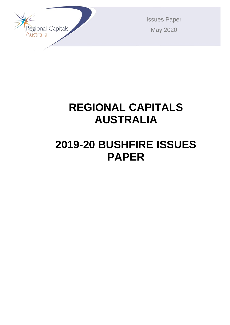

Issues Paper May 2020

# **REGIONAL CAPITALS AUSTRALIA**

# **2019-20 BUSHFIRE ISSUES PAPER**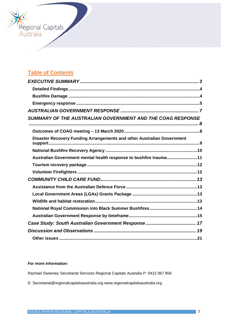

# **Table of Contents**

| SUMMARY OF THE AUSTRALIAN GOVERNMENT AND THE COAG RESPONSE             |
|------------------------------------------------------------------------|
|                                                                        |
| Disaster Recovery Funding Arrangements and other Australian Government |
|                                                                        |
| Australian Government mental health response to bushfire trauma11      |
|                                                                        |
|                                                                        |
|                                                                        |
|                                                                        |
|                                                                        |
|                                                                        |
|                                                                        |
|                                                                        |
|                                                                        |
|                                                                        |
|                                                                        |

#### **For more information:**

Rachael Sweeney Secretariat Services Regional Capitals Australia P: 0422 067 858

E: Secretariat@regionalcapitalsaustralia.org www.regionalcapitalsaustralia.org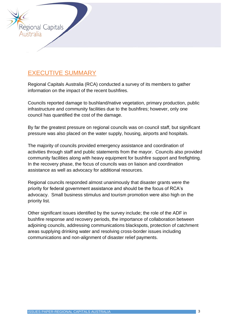

# <span id="page-2-0"></span>EXECUTIVE SUMMARY

Regional Capitals Australia (RCA) conducted a survey of its members to gather information on the impact of the recent bushfires.

Councils reported damage to bushland/native vegetation, primary production, public infrastructure and community facilities due to the bushfires; however, only one council has quantified the cost of the damage.

By far the greatest pressure on regional councils was on council staff, but significant pressure was also placed on the water supply, housing, airports and hospitals.

The majority of councils provided emergency assistance and coordination of activities through staff and public statements from the mayor. Councils also provided community facilities along with heavy equipment for bushfire support and firefighting. In the recovery phase, the focus of councils was on liaison and coordination assistance as well as advocacy for additional resources.

Regional councils responded almost unanimously that disaster grants were the priority for federal government assistance and should be the focus of RCA's advocacy. Small business stimulus and tourism promotion were also high on the priority list.

Other significant issues identified by the survey include; the role of the ADF in bushfire response and recovery periods, the importance of collaboration between adjoining councils, addressing communications blackspots, protection of catchment areas supplying drinking water and resolving cross-border issues including communications and non-alignment of disaster relief payments.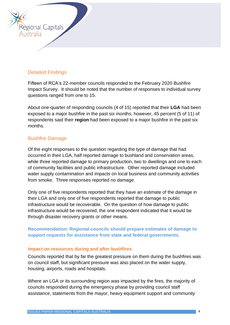

# <span id="page-3-0"></span>Detailed Findings

Fifteen of RCA's 22-member councils responded to the February 2020 Bushfire Impact Survey. It should be noted that the number of responses to individual survey questions ranged from one to 15.

About one-quarter of responding councils (4 of 15) reported that their **LGA** had been exposed to a major bushfire in the past six months; however, 45 percent (5 of 11) of respondents said their **region** had been exposed to a major bushfire in the past six months.

## <span id="page-3-1"></span>Bushfire Damage

Of the eight responses to the question regarding the type of damage that had occurred in their LGA, half reported damage to bushland and conservation areas, while three reported damage to primary production, two to dwellings and one to each of community facilities and public infrastructure. Other reported damage included water supply contamination and impacts on local business and community activities from smoke. Three responses reported no damage.

Only one of five respondents reported that they have an estimate of the damage in their LGA and only one of five respondents reported that damage to public infrastructure would be recoverable. On the question of how damage to public infrastructure would be recovered, the one respondent indicated that it would be through disaster recovery grants or other means.

**Recommendation: Regional councils should prepare estimates of damage to support requests for assistance from state and federal governments.** 

#### **Impact on resources during and after bushfires**

Councils reported that by far the greatest pressure on them during the bushfires was on council staff, but significant pressure was also placed on the water supply, housing, airports, roads and hospitals.

Where an LGA or its surrounding region was impacted by the fires, the majority of councils responded during the emergency phase by providing council staff assistance, statements from the mayor, heavy equipment support and community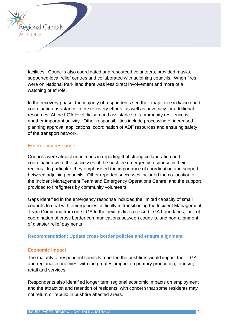

facilities. Councils also coordinated and resourced volunteers, provided masks, supported local relief centres and collaborated with adjoining councils. When fires were on National Park land there was less direct involvement and more of a watching brief role.

In the recovery phase, the majority of respondents see their major role in liaison and coordination assistance in the recovery efforts, as well as advocacy for additional resources. At the LGA level, liaison and assistance for community resilience is another important activity. Other responsibilities include processing of increased planning approval applications, coordination of ADF resources and ensuring safety of the transport network.

## <span id="page-4-0"></span>Emergency response

Councils were almost unanimous in reporting that strong collaboration and coordination were the successes of the bushfire emergency response in their regions. In particular, they emphasised the importance of coordination and support between adjoining councils. Other reported successes included the co-location of the Incident Management Team and Emergency Operations Centre, and the support provided to firefighters by community volunteers.

Gaps identified in the emergency response included the limited capacity of small councils to deal with emergencies, difficulty in transitioning the Incident Management Team Command from one LGA to the next as fires crossed LGA boundaries, lack of coordination of cross border communications between councils, and non-alignment of disaster relief payments

### **Recommendation: Update cross border policies and ensure alignment**

### **Economic impact**

The majority of respondent councils reported the bushfires would impact their LGA and regional economies, with the greatest impact on primary production, tourism, retail and services.

Respondents also identified longer term regional economic impacts on employment and the attraction and retention of residents, with concern that some residents may not return or rebuild in bushfire affected areas.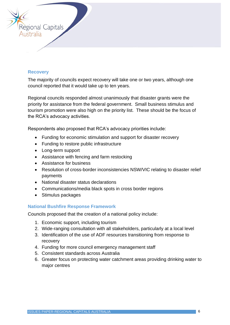

### **Recovery**

The majority of councils expect recovery will take one or two years, although one council reported that it would take up to ten years.

Regional councils responded almost unanimously that disaster grants were the priority for assistance from the federal government. Small business stimulus and tourism promotion were also high on the priority list. These should be the focus of the RCA's advocacy activities.

Respondents also proposed that RCA's advocacy priorities include:

- Funding for economic stimulation and support for disaster recovery
- Funding to restore public infrastructure
- Long-term support
- Assistance with fencing and farm restocking
- Assistance for business
- Resolution of cross-border inconsistencies NSW/VIC relating to disaster relief payments
- National disaster status declarations
- Communications/media black spots in cross border regions
- Stimulus packages

#### **National Bushfire Response Framework**

Councils proposed that the creation of a national policy include:

- 1. Economic support, including tourism
- 2. Wide-ranging consultation with all stakeholders, particularly at a local level
- 3. Identification of the use of ADF resources transitioning from response to recovery
- 4. Funding for more council emergency management staff
- 5. Consistent standards across Australia
- 6. Greater focus on protecting water catchment areas providing drinking water to major centres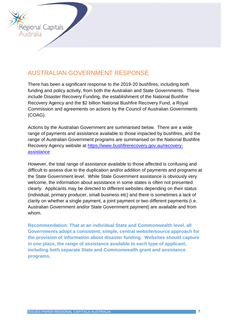

# <span id="page-6-0"></span>AUSTRALIAN GOVERNMENT RESPONSE

There has been a significant response to the 2019-20 bushfires, including both funding and policy activity, from both the Australian and State Governments. These include Disaster Recovery Funding, the establishment of the National Bushfire Recovery Agency and the \$2 billion National Bushfire Recovery Fund, a Royal Commission and agreements on actions by the Council of Australian Governments (COAG).

Actions by the Australian Government are summarised below. There are a wide range of payments and assistance available to those impacted by bushfires, and the range of Australian Government programs are summarised on the National Bushfire Recovery Agency website at [https://www.bushfirerecovery.gov.au/recovery](https://www.bushfirerecovery.gov.au/recovery-assistance)[assistance](https://www.bushfirerecovery.gov.au/recovery-assistance) 

However, the total range of assistance available to those affected is confusing and difficult to assess due to the duplication and/or addition of payments and programs at the State Government level. While State Government assistance is obviously very welcome, the information about assistance in some states is often not presented clearly. Applicants may be directed to different websites depending on their status (individual, primary producer, small business etc) and there is sometimes a lack of clarity on whether a single payment, a joint payment or two different payments (i.e. Australian Government and/or State Government payment) are available and from whom.

**Recommendation: That at an individual State and Commonwealth level, all Governments adopt a consistent, simple, central website/source approach for the provision of information about disaster funding. Websites should capture in one place, the range of assistance available to each type of applicant, including both separate State and Commonwealth grant and assistance programs.**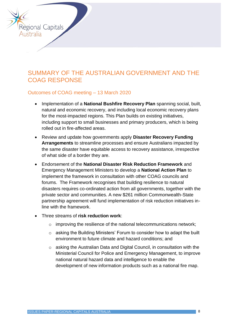

# <span id="page-7-0"></span>SUMMARY OF THE AUSTRALIAN GOVERNMENT AND THE COAG RESPONSE

## <span id="page-7-1"></span>Outcomes of COAG meeting – 13 March 2020

- Implementation of a **National Bushfire Recovery Plan** spanning social, built, natural and economic recovery, and including local economic recovery plans for the most-impacted regions. This Plan builds on existing initiatives, including support to small businesses and primary producers, which is being rolled out in fire-affected areas.
- Review and update how governments apply **Disaster Recovery Funding Arrangements** to streamline processes and ensure Australians impacted by the same disaster have equitable access to recovery assistance, irrespective of what side of a border they are.
- Endorsement of the **National Disaster Risk Reduction Framework** and Emergency Management Ministers to develop a **National Action Plan** to implement the framework in consultation with other COAG councils and forums. The Framework recognises that building resilience to natural disasters requires co-ordinated action from all governments, together with the private sector and communities. A new \$261 million Commonwealth-State partnership agreement will fund implementation of risk reduction initiatives inline with the framework.
- Three streams of **risk reduction work**:
	- o improving the resilience of the national telecommunications network;
	- o asking the Building Ministers' Forum to consider how to adapt the built environment to future climate and hazard conditions; and
	- o asking the Australian Data and Digital Council, in consultation with the Ministerial Council for Police and Emergency Management, to improve national natural hazard data and intelligence to enable the development of new information products such as a national fire map.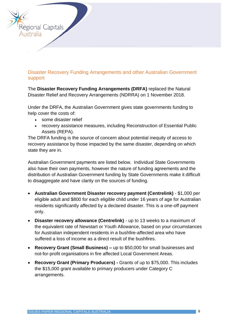

<span id="page-8-0"></span>Disaster Recovery Funding Arrangements and other Australian Government support

The **Disaster Recovery Funding Arrangements (DRFA)** replaced the Natural Disaster Relief and Recovery Arrangements (NDRRA) on 1 November 2018.

Under the DRFA, the Australian Government gives state governments funding to help cover the costs of:

- some disaster relief
- recovery assistance measures, including Reconstruction of Essential Public Assets (REPA).

The DRFA funding is the source of concern about potential inequity of access to recovery assistance by those impacted by the same disaster, depending on which state they are in.

Australian Government payments are listed below. Individual State Governments also have their own payments, however the nature of funding agreements and the distribution of Australian Government funding by State Governments make it difficult to disaggregate and have clarity on the sources of funding.

- **Australian Government Disaster recovery payment (Centrelink)** \$1,000 per eligible adult and \$800 for each eligible child under 16 years of age for Australian residents significantly affected by a declared disaster. This is a one-off payment only.
- **Disaster recovery allowance (Centrelink)** up to 13 weeks to a maximum of the equivalent rate of Newstart or Youth Allowance, based on your circumstances for Australian independent residents in a bushfire-affected area who have suffered a loss of income as a direct result of the bushfires.
- **Recovery Grant (Small Business) –** up to \$50,000 for small businesses and not-for-profit organisations in fire affected Local Government Areas.
- **Recovery Grant (Primary Producers) -** Grants of up to \$75,000. This includes the \$15,000 grant available to primary producers under Category C arrangements.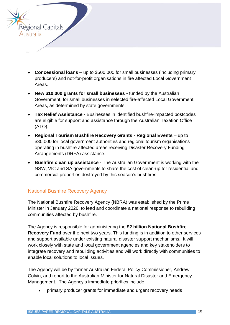

- **Concessional loans –** up to \$500,000 for small businesses (including primary producers) and not-for-profit organisations in fire affected Local Government Areas.
- **New \$10,000 grants for small businesses -** funded by the Australian Government, for small businesses in selected fire-affected Local Government Areas, as determined by state governments.
- **Tax Relief Assistance -** Businesses in identified bushfire-impacted postcodes are eligible for support and assistance through the Australian Taxation Office (ATO).
- **Regional Tourism Bushfire Recovery Grants - Regional Events** up to \$30,000 for local government authorities and regional tourism organisations operating in bushfire affected areas receiving Disaster Recovery Funding Arrangements (DRFA) assistance.
- **Bushfire clean up assistance -** The Australian Government is working with the NSW, VIC and SA governments to share the cost of clean-up for residential and commercial properties destroyed by this season's bushfires.

# <span id="page-9-0"></span>National Bushfire Recovery Agency

The National Bushfire Recovery Agency (NBRA) was established by the Prime Minister in January 2020, to lead and coordinate a national response to rebuilding communities affected by bushfire.

The Agency is responsible for administering the **\$2 billion National Bushfire Recovery Fund** over the next two years. This funding is in addition to other services and support available under existing natural disaster support mechanisms. It will work closely with state and local government agencies and key stakeholders to integrate recovery and rebuilding activities and will work directly with communities to enable local solutions to local issues.

The Agency will be by former Australian Federal Policy Commissioner, Andrew Colvin, and report to the Australian Minister for Natural Disaster and Emergency Management. The Agency's immediate priorities include:

• primary producer grants for immediate and urgent recovery needs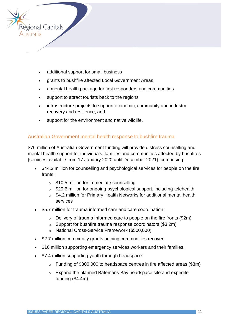

- additional support for small business
- grants to bushfire affected Local Government Areas
- a mental health package for first responders and communities
- support to attract tourists back to the regions
- infrastructure projects to support economic, community and industry recovery and resilience, and
- support for the environment and native wildlife.

## <span id="page-10-0"></span>Australian Government mental health response to bushfire trauma

\$76 million of Australian Government funding will provide distress counselling and mental health support for individuals, families and communities affected by bushfires (services available from 17 January 2020 until December 2021), comprising:

- \$44.3 million for counselling and psychological services for people on the fire fronts:
	- $\circ$  \$10.5 million for immediate counselling
	- o \$29.6 million for ongoing psychological support, including telehealth
	- o \$4.2 million for Primary Health Networks for additional mental health services
- \$5.7 million for trauma informed care and care coordination:
	- $\circ$  Delivery of trauma informed care to people on the fire fronts (\$2m)
	- o Support for bushfire trauma response coordinators (\$3.2m)
	- o National Cross-Service Framework (\$500,000)
- \$2.7 million community grants helping communities recover.
- \$16 million supporting emergency services workers and their families.
- \$7.4 million supporting youth through headspace:
	- o Funding of \$300,000 to headspace centres in fire affected areas (\$3m)
	- o Expand the planned Batemans Bay headspace site and expedite funding (\$4.4m)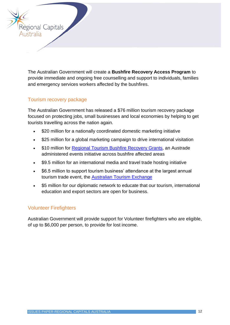

The Australian Government will create a **Bushfire Recovery Access Program** to provide immediate and ongoing free counselling and support to individuals, families and emergency services workers affected by the bushfires.

## <span id="page-11-0"></span>Tourism recovery package

The Australian Government has released a \$76 million tourism recovery package focused on protecting jobs, small businesses and local economies by helping to get tourists travelling across the nation again.

- \$20 million for a nationally coordinated domestic marketing initiative
- \$25 million for a global marketing campaign to drive international visitation
- \$10 million for Regional Tourism Bushfire [Recovery](https://www.austrade.gov.au/Australian/Tourism/Tourism-and-business/Grants/regional-tourism-bushfire-recovery-grants) Grants, an Austrade administered events initiative across bushfire affected areas
- \$9.5 million for an international media and travel trade hosting initiative
- \$6.5 million to support tourism business' attendance at the largest annual tourism trade event, the [Australian](http://www.tourism.australia.com/en/events-and-tools/industry-events/upcoming-tourism-australia-industry-events/ate-2020.html?cid=DM53334&bid=25529976) Tourism Exchange
- \$5 million for our diplomatic network to educate that our tourism, international education and export sectors are open for business.

### <span id="page-11-1"></span>Volunteer Firefighters

Australian Government will provide support for Volunteer firefighters who are eligible, of up to \$6,000 per person, to provide for lost income.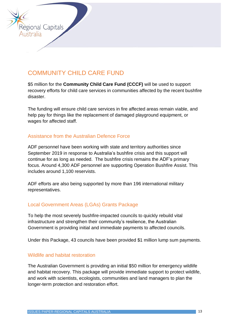

# <span id="page-12-0"></span>COMMUNITY CHILD CARE FUND

\$5 million for the **Community Child Care Fund (CCCF)** will be used to support recovery efforts for child care services in communities affected by the recent bushfire disaster.

The funding will ensure child care services in fire affected areas remain viable, and help pay for things like the replacement of damaged playground equipment, or wages for affected staff.

## <span id="page-12-1"></span>Assistance from the Australian Defence Force

ADF personnel have been working with state and territory authorities since September 2019 in response to Australia's bushfire crisis and this support will continue for as long as needed. The bushfire crisis remains the ADF's primary focus. Around 4,300 ADF personnel are supporting Operation Bushfire Assist. This includes around 1,100 reservists.

ADF efforts are also being supported by more than 196 international military representatives.

## <span id="page-12-2"></span>Local Government Areas (LGAs) Grants Package

To help the most severely bushfire-impacted councils to quickly rebuild vital infrastructure and strengthen their community's resilience, the Australian Government is providing initial and immediate payments to affected councils.

Under this Package, 43 councils have been provided \$1 million lump sum payments.

### <span id="page-12-3"></span>Wildlife and habitat restoration

The Australian Government is providing an initial \$50 million for emergency wildlife and habitat recovery. This package will provide immediate support to protect wildlife, and work with scientists, ecologists, communities and land managers to plan the longer-term protection and restoration effort.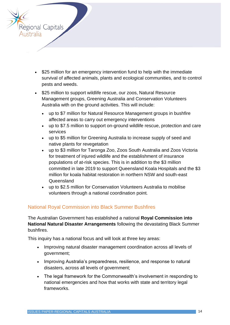

- \$25 million for an emergency intervention fund to help with the immediate survival of affected animals, plants and ecological communities, and to control pests and weeds.
- \$25 million to support wildlife rescue, our zoos, Natural Resource Management groups, Greening Australia and Conservation Volunteers Australia with on the ground activities. This will include:
	- up to \$7 million for Natural Resource Management groups in bushfire affected areas to carry out emergency interventions
	- up to \$7.5 million to support on-ground wildlife rescue, protection and care services
	- up to \$5 million for Greening Australia to increase supply of seed and native plants for revegetation
	- up to \$3 million for Taronga Zoo, Zoos South Australia and Zoos Victoria for treatment of injured wildlife and the establishment of insurance populations of at-risk species. This is in addition to the \$3 million committed in late 2019 to support Queensland Koala Hospitals and the \$3 million for koala habitat restoration in northern NSW and south-east Queensland
	- up to \$2.5 million for Conservation Volunteers Australia to mobilise volunteers through a national coordination point.

# <span id="page-13-0"></span>National Royal Commission into Black Summer Bushfires

The Australian Government has established a national **Royal Commission into National Natural Disaster Arrangements** following the devastating Black Summer bushfires.

This inquiry has a national focus and will look at three key areas:

- Improving natural disaster management coordination across all levels of government;
- Improving Australia's preparedness, resilience, and response to natural disasters, across all levels of government;
- The legal framework for the Commonwealth's involvement in responding to national emergencies and how that works with state and territory legal frameworks.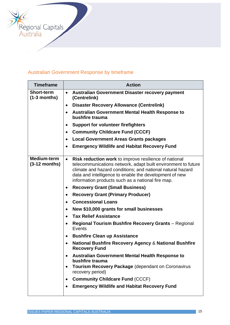

# <span id="page-14-0"></span>Australian Government Response by timeframe

| <b>Timeframe</b>                    | <b>Action</b>                                                                                                                                                                                                                                                                                                    |
|-------------------------------------|------------------------------------------------------------------------------------------------------------------------------------------------------------------------------------------------------------------------------------------------------------------------------------------------------------------|
| <b>Short-term</b><br>$(1-3$ months) | Australian Government Disaster recovery payment<br>$\bullet$<br>(Centrelink)                                                                                                                                                                                                                                     |
|                                     | <b>Disaster Recovery Allowance (Centrelink)</b><br>$\bullet$                                                                                                                                                                                                                                                     |
|                                     | <b>Australian Government Mental Health Response to</b><br>$\bullet$<br>bushfire trauma                                                                                                                                                                                                                           |
|                                     | <b>Support for volunteer firefighters</b><br>$\bullet$                                                                                                                                                                                                                                                           |
|                                     | <b>Community Childcare Fund (CCCF)</b><br>$\bullet$                                                                                                                                                                                                                                                              |
|                                     | <b>Local Government Areas Grants packages</b><br>$\bullet$                                                                                                                                                                                                                                                       |
|                                     | <b>Emergency Wildlife and Habitat Recovery Fund</b><br>$\bullet$                                                                                                                                                                                                                                                 |
| Medium-term<br>$(3-12$ months)      | Risk reduction work to improve resilience of national<br>$\bullet$<br>telecommunications network, adapt built environment to future<br>climate and hazard conditions; and national natural hazard<br>data and intelligence to enable the development of new<br>information products such as a national fire map. |
|                                     | <b>Recovery Grant (Small Business)</b><br>$\bullet$                                                                                                                                                                                                                                                              |
|                                     | <b>Recovery Grant (Primary Producer)</b><br>$\bullet$                                                                                                                                                                                                                                                            |
|                                     | <b>Concessional Loans</b><br>$\bullet$                                                                                                                                                                                                                                                                           |
|                                     | New \$10,000 grants for small businesses<br>$\bullet$                                                                                                                                                                                                                                                            |
|                                     | <b>Tax Relief Assistance</b><br>$\bullet$                                                                                                                                                                                                                                                                        |
|                                     | <b>Regional Tourism Bushfire Recovery Grants - Regional</b><br>$\bullet$<br>Events                                                                                                                                                                                                                               |
|                                     | <b>Bushfire Clean up Assistance</b><br>$\bullet$                                                                                                                                                                                                                                                                 |
|                                     | <b>National Bushfire Recovery Agency &amp; National Bushfire</b><br>$\bullet$<br><b>Recovery Fund</b>                                                                                                                                                                                                            |
|                                     | <b>Australian Government Mental Health Response to</b><br>bushfire trauma<br><b>Tourism Recovery Package (dependant on Coronavirus</b><br>$\bullet$                                                                                                                                                              |
|                                     | recovery period)                                                                                                                                                                                                                                                                                                 |
|                                     | <b>Community Childcare Fund (CCCF)</b><br>$\bullet$                                                                                                                                                                                                                                                              |
|                                     | <b>Emergency Wildlife and Habitat Recovery Fund</b><br>$\bullet$                                                                                                                                                                                                                                                 |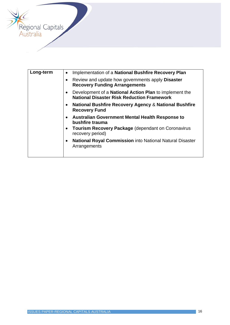

| Long-term | Implementation of a National Bushfire Recovery Plan                                                                |
|-----------|--------------------------------------------------------------------------------------------------------------------|
|           | Review and update how governments apply <b>Disaster</b><br><b>Recovery Funding Arrangements</b>                    |
|           | Development of a <b>National Action Plan</b> to implement the<br><b>National Disaster Risk Reduction Framework</b> |
|           | <b>National Bushfire Recovery Agency &amp; National Bushfire</b><br><b>Recovery Fund</b>                           |
|           | <b>Australian Government Mental Health Response to</b><br>bushfire trauma                                          |
|           | Tourism Recovery Package (dependant on Coronavirus<br>recovery period)                                             |
|           | <b>National Royal Commission into National Natural Disaster</b><br>Arrangements                                    |
|           |                                                                                                                    |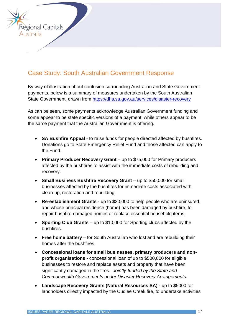

# <span id="page-16-0"></span>Case Study: South Australian Government Response

By way of illustration about confusion surrounding Australian and State Government payments, below is a summary of measures undertaken by the South Australian State Government, drawn from<https://dhs.sa.gov.au/services/disaster-recovery>

As can be seen, some payments acknowledge Australian Government funding and some appear to be state specific versions of a payment, while others appear to be the same payment that the Australian Government is offering.

- **SA Bushfire Appeal** to raise funds for people directed affected by bushfires. Donations go to State Emergency Relief Fund and those affected can apply to the Fund.
- **Primary Producer Recovery Grant** up to \$75,000 for Primary producers affected by the bushfires to assist with the immediate costs of rebuilding and recovery.
- **Small Business Bushfire Recovery Grant** up to \$50,000 for small businesses affected by the bushfires for immediate costs associated with clean-up, restoration and rebuilding.
- **Re-establishment Grants** up to \$20,000 to help people who are uninsured, and whose principal residence (home) has been damaged by bushfire, to repair bushfire-damaged homes or replace essential household items.
- **Sporting Club Grants**  up to \$10,000 for Sporting clubs affected by the bushfires.
- **Free home battery** for South Australian who lost and are rebuilding their homes after the bushfires.
- **Concessional loans for small businesses, primary producers and nonprofit organisations -** concessional loan of up to \$500,000 for eligible businesses to restore and replace assets and property that have been significantly damaged in the fires. *Jointly-funded by the State and Commonwealth Governments under Disaster Recovery Arrangements.*
- **Landscape Recovery Grants (Natural Resources SA)**  up to \$5000 for landholders directly impacted by the Cudlee Creek fire, to undertake activities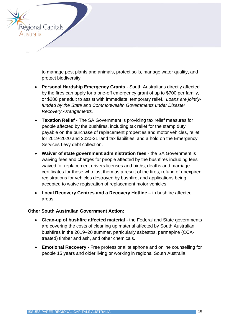

to manage pest plants and animals, protect soils, manage water quality, and protect biodiversity.

- **Personal Hardship Emergency Grants** South Australians directly affected by the fires can apply for a one-off emergency grant of up to \$700 per family, or \$280 per adult to assist with immediate, temporary relief. *Loans are jointlyfunded by the State and Commonwealth Governments under Disaster Recovery Arrangements.*
- **Taxation Relief** The SA Government is providing tax relief measures for people affected by the bushfires, including tax relief for the stamp duty payable on the purchase of replacement properties and motor vehicles, relief for 2019-2020 and 2020-21 land tax liabilities, and a hold on the Emergency Services Levy debt collection.
- **Waiver of state government administration fees** the SA Government is waiving fees and charges for people affected by the bushfires including fees waived for [replacement drivers licenses and births, deaths and marriage](https://dhs.sa.gov.au/services/disaster-recovery/common-bushfire-info/document-replacement)  [certificates](https://dhs.sa.gov.au/services/disaster-recovery/common-bushfire-info/document-replacement) for those who lost them as a result of the fires, [refund of unexpired](https://dhs.sa.gov.au/services/disaster-recovery/common-bushfire-info/loss-of-car-boat)  [registrations for vehicles destroyed by bushfire,](https://dhs.sa.gov.au/services/disaster-recovery/common-bushfire-info/loss-of-car-boat) and applications being accepted to waive registration of replacement motor vehicles.
- **Local Recovery Centres and a Recovery Hotline** in bushfire affected areas.

### **Other South Australian Government Action:**

- **Clean-up of bushfire affected material** the Federal and State governments are covering the costs of cleaning up material affected by South Australian bushfires in the 2019–20 summer, particularly asbestos, permapine (CCAtreated) timber and ash, and other chemicals.
- **Emotional Recovery -** Free professional telephone and online counselling for people 15 years and older living or working in regional South Australia.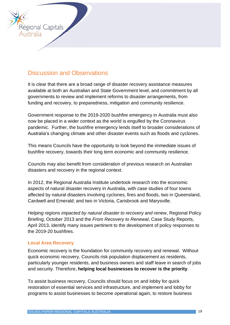

# <span id="page-18-0"></span>Discussion and Observations

It is clear that there are a broad range of disaster recovery assistance measures available at both an Australian and State Government level, and commitment by all governments to review and implement reforms to disaster arrangements, from funding and recovery, to preparedness, mitigation and community resilience.

Government response to the 2019-2020 bushfire emergency in Australia must also now be placed in a wider context as the world is engulfed by the Coronavirus pandemic. Further, the bushfire emergency lends itself to broader considerations of Australia's changing climate and other disaster events such as floods and cyclones.

This means Councils have the opportunity to look beyond the immediate issues of bushfire recovery, towards their long term economic and community resilience.

Councils may also benefit from consideration of previous research on Australian disasters and recovery in the regional context.

In 2012, the Regional Australia Institute undertook research into the economic aspects of natural disaster recovery in Australia, with case studies of four towns affected by natural disasters involving cyclones, fires and floods, two in Queensland, Cardwell and Emerald; and two in Victoria, Carisbrook and Marysville.

*Helping regions impacted by natural disaster to recovery and renew*, Regional Policy Briefing, October 2013 and the *From Recovery to Renewal*, Case Study Reports, April 2013, identify many issues pertinent to the development of policy responses to the 2019-20 bushfires.

### **Local Area Recovery**

Economic recovery is the foundation for community recovery and renewal. Without quick economic recovery, Councils risk population displacement as residents, particularly younger residents, and business owners and staff leave in search of jobs and security. Therefore, **helping local businesses to recover is the priority**.

To assist business recovery, Councils should focus on and lobby for quick restoration of essential services and infrastructure, and implement and lobby for programs to assist businesses to become operational again, to restore business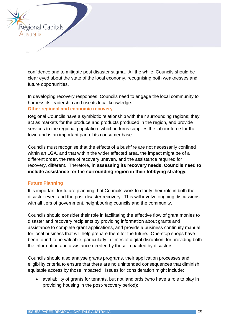

confidence and to mitigate post disaster stigma. All the while, Councils should be clear eyed about the state of the local economy, recognising both weaknesses and future opportunities.

In developing recovery responses, Councils need to engage the local community to harness its leadership and use its local knowledge. **Other regional and economic recovery**

Regional Councils have a symbiotic relationship with their surrounding regions; they act as markets for the produce and products produced in the region, and provide services to the regional population, which in turns supplies the labour force for the town and is an important part of its consumer base.

Councils must recognise that the effects of a bushfire are not necessarily confined within an LGA, and that within the wider affected area, the impact might be of a different order, the rate of recovery uneven, and the assistance required for recovery, different. Therefore, **in assessing its recovery needs, Councils need to include assistance for the surrounding region in their lobbying strategy.**

### **Future Planning**

It is important for future planning that Councils work to clarify their role in both the disaster event and the post-disaster recovery. This will involve ongoing discussions with all tiers of government, neighbouring councils and the community.

Councils should consider their role in facilitating the effective flow of grant monies to disaster and recovery recipients by providing information about grants and assistance to complete grant applications, and provide a business continuity manual for local business that will help prepare them for the future. One-stop shops have been found to be valuable, particularly in times of digital disruption, for providing both the information and assistance needed by those impacted by disasters.

Councils should also analyse grants programs, their application processes and eligibility criteria to ensure that there are no unintended consequences that diminish equitable access by those impacted. Issues for consideration might include:

• availability of grants for tenants, but not landlords (who have a role to play in providing housing in the post-recovery period);